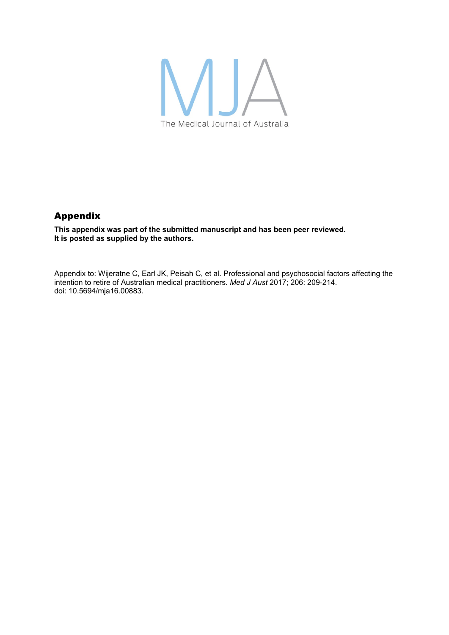

## Appendix

**This appendix was part of the submitted manuscript and has been peer reviewed. It is posted as supplied by the authors.** 

Appendix to: Wijeratne C, Earl JK, Peisah C, et al. Professional and psychosocial factors affecting the intention to retire of Australian medical practitioners. *Med J Aust* 2017; 206: 209-214. doi: 10.5694/mja16.00883.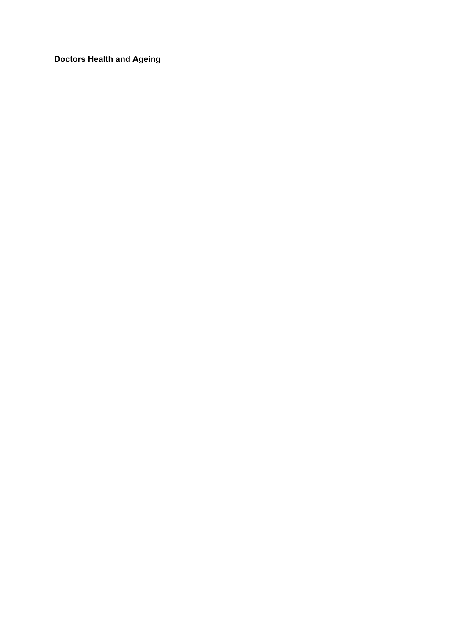**Doctors Health and Ageing**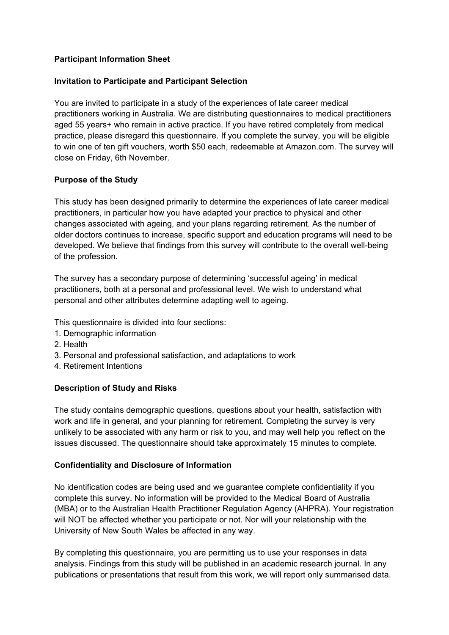#### **Participant Information Sheet**

#### **Invitation to Participate and Participant Selection**

You are invited to participate in a study of the experiences of late career medical practitioners working in Australia. We are distributing questionnaires to medical practitioners aged 55 years+ who remain in active practice. If you have retired completely from medical practice, please disregard this questionnaire. If you complete the survey, you will be eligible to win one of ten gift vouchers, worth \$50 each, redeemable at Amazon.com. The survey will close on Friday, 6th November.

#### **Purpose of the Study**

This study has been designed primarily to determine the experiences of late career medical practitioners, in particular how you have adapted your practice to physical and other changes associated with ageing, and your plans regarding retirement. As the number of older doctors continues to increase, specific support and education programs will need to be developed. We believe that findings from this survey will contribute to the overall well-being of the profession.

The survey has a secondary purpose of determining 'successful ageing' in medical practitioners, both at a personal and professional level. We wish to understand what personal and other attributes determine adapting well to ageing.

This questionnaire is divided into four sections:

- 1. Demographic information
- 2. Health
- 3. Personal and professional satisfaction, and adaptations to work
- 4. Retirement Intentions

#### **Description of Study and Risks**

The study contains demographic questions, questions about your health, satisfaction with work and life in general, and your planning for retirement. Completing the survey is very unlikely to be associated with any harm or risk to you, and may well help you reflect on the issues discussed. The questionnaire should take approximately 15 minutes to complete.

#### **Confidentiality and Disclosure of Information**

No identification codes are being used and we guarantee complete confidentiality if you complete this survey. No information will be provided to the Medical Board of Australia (MBA) or to the Australian Health Practitioner Regulation Agency (AHPRA). Your registration will NOT be affected whether you participate or not. Nor will your relationship with the University of New South Wales be affected in any way.

By completing this questionnaire, you are permitting us to use your responses in data analysis. Findings from this study will be published in an academic research journal. In any publications or presentations that result from this work, we will report only summarised data.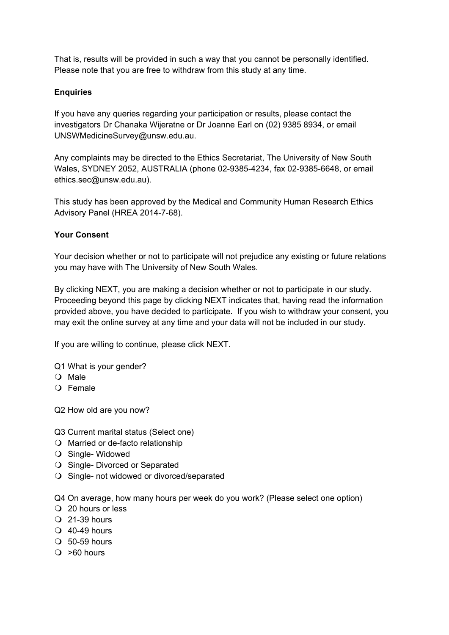That is, results will be provided in such a way that you cannot be personally identified. Please note that you are free to withdraw from this study at any time.

## **Enquiries**

If you have any queries regarding your participation or results, please contact the investigators Dr Chanaka Wijeratne or Dr Joanne Earl on (02) 9385 8934, or email UNSWMedicineSurvey@unsw.edu.au.

Any complaints may be directed to the Ethics Secretariat, The University of New South Wales, SYDNEY 2052, AUSTRALIA (phone 02-9385-4234, fax 02-9385-6648, or email ethics.sec@unsw.edu.au).

This study has been approved by the Medical and Community Human Research Ethics Advisory Panel (HREA 2014-7-68).

### **Your Consent**

Your decision whether or not to participate will not prejudice any existing or future relations you may have with The University of New South Wales.

By clicking NEXT, you are making a decision whether or not to participate in our study. Proceeding beyond this page by clicking NEXT indicates that, having read the information provided above, you have decided to participate. If you wish to withdraw your consent, you may exit the online survey at any time and your data will not be included in our study.

If you are willing to continue, please click NEXT.

- Q1 What is your gender?
- O Male
- O Female

Q2 How old are you now?

- Q3 Current marital status (Select one)
- $\bigcirc$  Married or de-facto relationship
- O Single- Widowed
- O Single- Divorced or Separated
- O Single- not widowed or divorced/separated

Q4 On average, how many hours per week do you work? (Please select one option)

- 20 hours or less
- $Q$  21-39 hours
- $\bigcirc$  40-49 hours
- $\Omega$  50-59 hours
- $\bigcirc$  >60 hours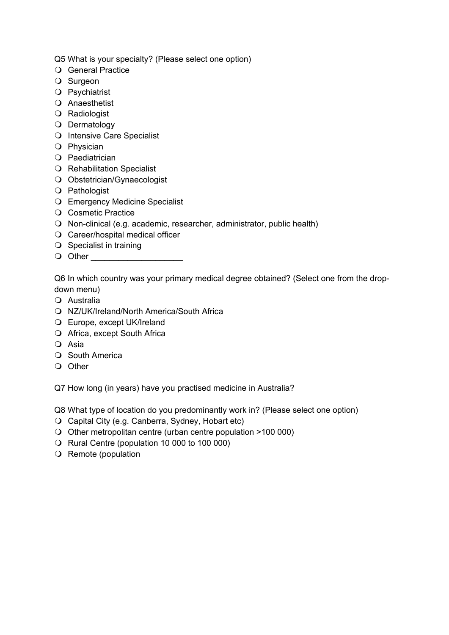Q5 What is your specialty? (Please select one option)

- O General Practice
- O Surgeon
- O Psychiatrist
- Anaesthetist
- O Radiologist
- O Dermatology
- O Intensive Care Specialist
- O Physician
- O Paediatrician
- O Rehabilitation Specialist
- Obstetrician/Gynaecologist
- O Pathologist
- Emergency Medicine Specialist
- O Cosmetic Practice
- O Non-clinical (e.g. academic, researcher, administrator, public health)
- Career/hospital medical officer
- $\bigcirc$  Specialist in training
- Other \_\_\_\_\_\_\_\_\_\_\_\_\_\_\_\_\_\_\_\_

Q6 In which country was your primary medical degree obtained? (Select one from the dropdown menu)

- Australia
- NZ/UK/Ireland/North America/South Africa
- Europe, except UK/Ireland
- O Africa, except South Africa
- O Asia
- O South America
- O Other

Q7 How long (in years) have you practised medicine in Australia?

Q8 What type of location do you predominantly work in? (Please select one option)

- Capital City (e.g. Canberra, Sydney, Hobart etc)
- O Other metropolitan centre (urban centre population >100 000)
- O Rural Centre (population 10 000 to 100 000)
- $\bigcirc$  Remote (population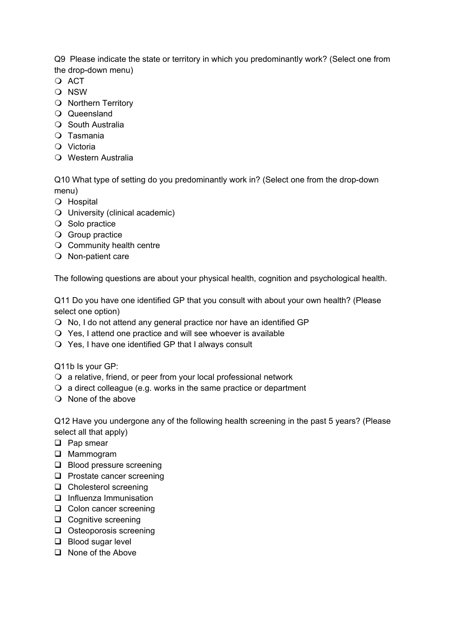Q9 Please indicate the state or territory in which you predominantly work? (Select one from the drop-down menu)

- $\Omega$  ACT
- O NSW
- O Northern Territory
- Queensland
- O South Australia
- Tasmania
- Victoria
- Western Australia

Q10 What type of setting do you predominantly work in? (Select one from the drop-down menu)

- O Hospital
- University (clinical academic)
- O Solo practice
- **Q** Group practice
- O Community health centre
- O Non-patient care

The following questions are about your physical health, cognition and psychological health.

Q11 Do you have one identified GP that you consult with about your own health? (Please select one option)

- No, I do not attend any general practice nor have an identified GP
- Yes, I attend one practice and will see whoever is available
- Yes, I have one identified GP that I always consult

Q11b Is your GP:

- $\Omega$  a relative, friend, or peer from your local professional network
- a direct colleague (e.g. works in the same practice or department
- $\bigcirc$  None of the above

Q12 Have you undergone any of the following health screening in the past 5 years? (Please select all that apply)

- □ Pap smear
- **Q** Mammogram
- **Blood pressure screening**
- $\Box$  Prostate cancer screening
- □ Cholesterol screening
- $\Box$  Influenza Immunisation
- □ Colon cancer screening
- **Q** Cognitive screening
- $\Box$  Osteoporosis screening
- □ Blood sugar level
- $\Box$  None of the Above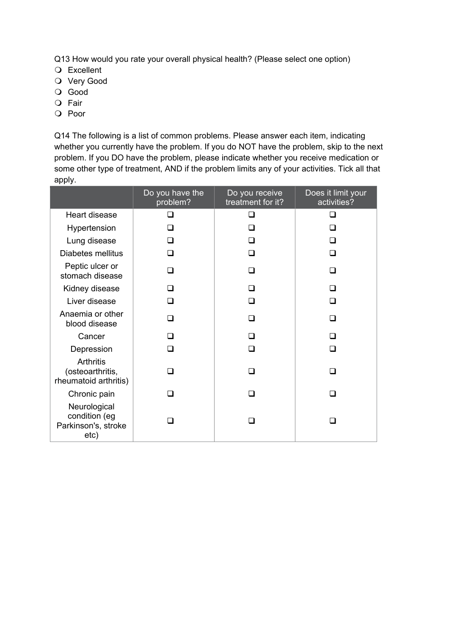Q13 How would you rate your overall physical health? (Please select one option)

- Excellent
- O Very Good
- O Good
- O Fair
- O Poor

Q14 The following is a list of common problems. Please answer each item, indicating whether you currently have the problem. If you do NOT have the problem, skip to the next problem. If you DO have the problem, please indicate whether you receive medication or some other type of treatment, AND if the problem limits any of your activities. Tick all that apply.

|                                                              | Do you have the<br>problem? | Do you receive<br>treatment for it? | Does it limit your<br>activities? |
|--------------------------------------------------------------|-----------------------------|-------------------------------------|-----------------------------------|
| Heart disease                                                | n                           | ∩                                   | ◻                                 |
| Hypertension                                                 | n                           |                                     |                                   |
| Lung disease                                                 | □                           | ∩                                   | ∩                                 |
| Diabetes mellitus                                            | ◻                           | ◻                                   | $\Box$                            |
| Peptic ulcer or<br>stomach disease                           | □                           | □                                   | ◻                                 |
| Kidney disease                                               | ⊓                           | П                                   | ∩                                 |
| Liver disease                                                | □                           | n                                   | П                                 |
| Anaemia or other<br>blood disease                            | n                           | n                                   | □                                 |
| Cancer                                                       | ⊓                           | □                                   | ⊓                                 |
| Depression                                                   | n                           | n                                   | П                                 |
| Arthritis<br>(osteoarthritis,<br>rheumatoid arthritis)       |                             |                                     |                                   |
| Chronic pain                                                 | - 1                         | $\Box$                              | $\mathcal{L}$                     |
| Neurological<br>condition (eg<br>Parkinson's, stroke<br>etc) |                             |                                     |                                   |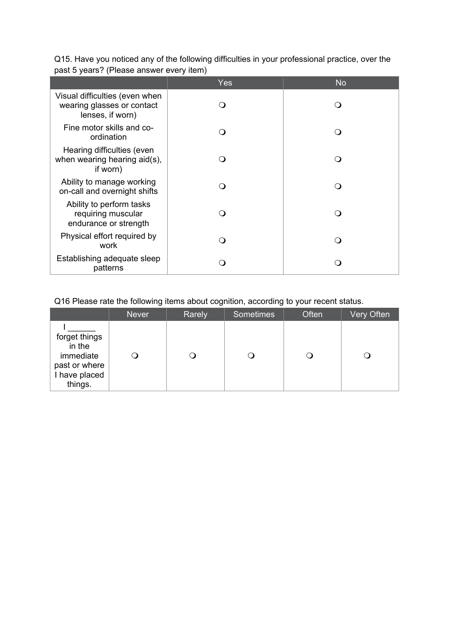|                                                                                  | <b>Yes</b> | <b>No</b>        |
|----------------------------------------------------------------------------------|------------|------------------|
| Visual difficulties (even when<br>wearing glasses or contact<br>lenses, if worn) | ( )        | $\left( \right)$ |
| Fine motor skills and co-<br>ordination                                          | ∩          | 0                |
| Hearing difficulties (even<br>when wearing hearing aid(s),<br>if worn)           |            |                  |
| Ability to manage working<br>on-call and overnight shifts                        |            |                  |
| Ability to perform tasks<br>requiring muscular<br>endurance or strength          |            | $\left( \right)$ |
| Physical effort required by<br>work                                              |            | $\Omega$         |
| Establishing adequate sleep<br>patterns                                          |            |                  |

Q15. Have you noticed any of the following difficulties in your professional practice, over the past 5 years? (Please answer every item)

## Q16 Please rate the following items about cognition, according to your recent status.

|                                                                                   | <b>Never</b> | Rarely | <b>Sometimes</b> | Often | Very Often |
|-----------------------------------------------------------------------------------|--------------|--------|------------------|-------|------------|
| forget things<br>in the<br>immediate<br>past or where<br>I have placed<br>things. |              |        |                  |       |            |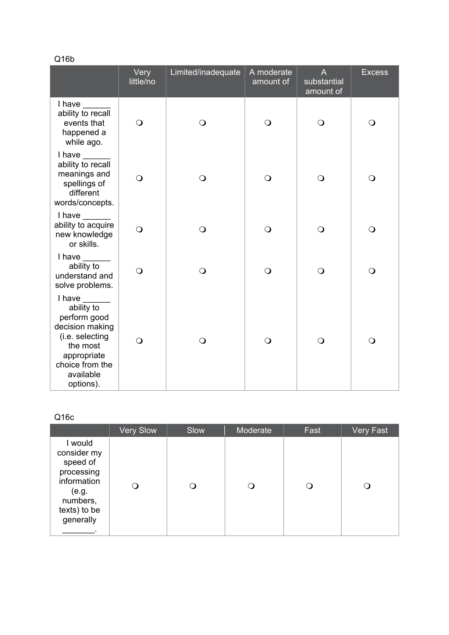Q16b

|                                                                                                                                                    | Very<br>little/no | Limited/inadequate | A moderate<br>amount of | A<br>substantial<br>amount of | <b>Excess</b>  |
|----------------------------------------------------------------------------------------------------------------------------------------------------|-------------------|--------------------|-------------------------|-------------------------------|----------------|
| I have<br>ability to recall<br>events that<br>happened a<br>while ago.                                                                             | $\bigcirc$        | $\bigcirc$         | $\bigcirc$              | $\bigcirc$                    | $\bigcirc$     |
| I have<br>ability to recall<br>meanings and<br>spellings of<br>different<br>words/concepts.                                                        | $\bigcirc$        | $\bigcirc$         | $\bigcirc$              | $\bigcirc$                    | $\overline{O}$ |
| $l$ have $\_\_\_\_\_\_\_\_\$<br>ability to acquire<br>new knowledge<br>or skills.                                                                  | $\bigcirc$        | $\bigcirc$         | $\bigcirc$              | $\bigcirc$                    | $\bigcirc$     |
| $I$ have $\frac{I}{I}$<br>ability to<br>understand and<br>solve problems.                                                                          | $\bigcirc$        | $\bigcirc$         | $\bigcirc$              | $\bigcirc$                    | $\bigcirc$     |
| I have<br>ability to<br>perform good<br>decision making<br>(i.e. selecting<br>the most<br>appropriate<br>choice from the<br>available<br>options). | $\bigcirc$        | $\bigcirc$         | $\bigcirc$              | $\bigcirc$                    | $\bigcirc$     |

# Q16c

|                                                                                                                   | <b>Very Slow</b> | Slow | Moderate | Fast | <b>Very Fast</b> |
|-------------------------------------------------------------------------------------------------------------------|------------------|------|----------|------|------------------|
| I would<br>consider my<br>speed of<br>processing<br>information<br>(e.g.<br>numbers,<br>texts) to be<br>generally |                  | Ω    |          |      |                  |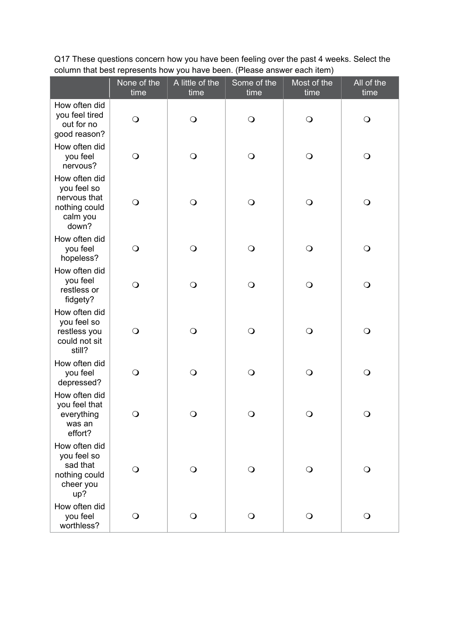|                                                                                    | None of the<br>time | A little of the<br>time | Some of the<br>time | Most of the<br>time | All of the<br>time |
|------------------------------------------------------------------------------------|---------------------|-------------------------|---------------------|---------------------|--------------------|
| How often did<br>you feel tired<br>out for no<br>good reason?                      | $\bigcirc$          | $\bigcirc$              | $\bigcirc$          | $\bigcirc$          | $\bigcirc$         |
| How often did<br>you feel<br>nervous?                                              | $\bigcirc$          | $\bigcirc$              | $\bigcirc$          | $\bigcirc$          | $\bigcirc$         |
| How often did<br>you feel so<br>nervous that<br>nothing could<br>calm you<br>down? | $\mathsf{O}$        | $\bigcirc$              | $\bigcirc$          | $\bigcirc$          | $\bigcirc$         |
| How often did<br>you feel<br>hopeless?                                             | $\mathsf{O}$        | $\bigcirc$              | $\bigcirc$          | $\bigcirc$          | $\bigcirc$         |
| How often did<br>you feel<br>restless or<br>fidgety?                               | $\bigcirc$          | $\bigcirc$              | $\bigcirc$          | $\bigcirc$          | $\bigcirc$         |
| How often did<br>you feel so<br>restless you<br>could not sit<br>still?            | $\mathsf{O}$        | $\bigcirc$              | $\bigcirc$          | $\mathsf{O}$        | $\bigcirc$         |
| How often did<br>you feel<br>depressed?                                            | $\bigcirc$          | $\overline{O}$          | $\bigcirc$          | $\bigcirc$          | $\bigcirc$         |
| How often did<br>you feel that<br>everything<br>was an<br>effort?                  | $\bigcirc$          | $\bigcirc$              | $\bigcirc$          | $\bigcirc$          | $\bigcirc$         |
| How often did<br>you feel so<br>sad that<br>nothing could<br>cheer you<br>up?      | $\bigcirc$          | $\bigcirc$              | $\bigcirc$          | $\bigcirc$          | $\bigcirc$         |
| How often did<br>you feel<br>worthless?                                            | $\mathsf{O}$        | $\bigcirc$              | $\bigcirc$          | $\bigcirc$          | $\mathsf{O}$       |

Q17 These questions concern how you have been feeling over the past 4 weeks. Select the column that best represents how you have been. (Please answer each item)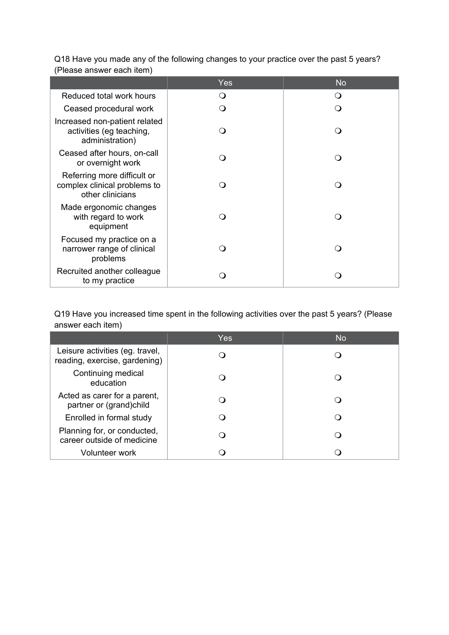|                                                                                 | Yes | <b>No</b> |
|---------------------------------------------------------------------------------|-----|-----------|
| Reduced total work hours                                                        | ∩   | $\Omega$  |
| Ceased procedural work                                                          | ∩   |           |
| Increased non-patient related<br>activities (eg teaching,<br>administration)    |     |           |
| Ceased after hours, on-call<br>or overnight work                                |     |           |
| Referring more difficult or<br>complex clinical problems to<br>other clinicians |     |           |
| Made ergonomic changes<br>with regard to work<br>equipment                      | ∩   |           |
| Focused my practice on a<br>narrower range of clinical<br>problems              |     |           |
| Recruited another colleague<br>to my practice                                   |     |           |

Q18 Have you made any of the following changes to your practice over the past 5 years? (Please answer each item)

Q19 Have you increased time spent in the following activities over the past 5 years? (Please answer each item)

|                                                                  | Yes | <b>No</b> |
|------------------------------------------------------------------|-----|-----------|
| Leisure activities (eg. travel,<br>reading, exercise, gardening) |     |           |
| Continuing medical<br>education                                  |     |           |
| Acted as carer for a parent,<br>partner or (grand)child          |     |           |
| Enrolled in formal study                                         |     |           |
| Planning for, or conducted,<br>career outside of medicine        |     |           |
| Volunteer work                                                   |     |           |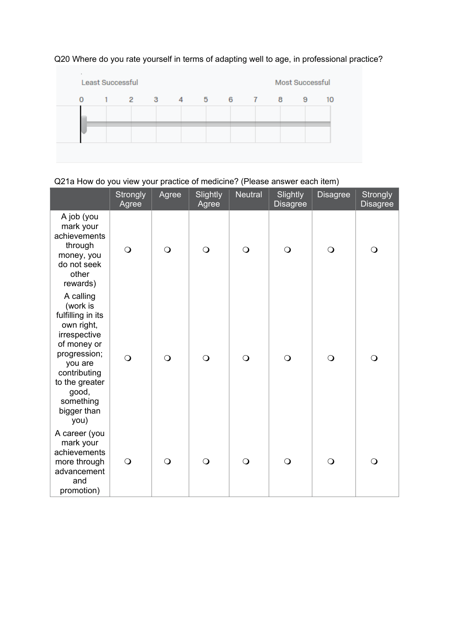

# Q20 Where do you rate yourself in terms of adapting well to age, in professional practice?

# Q21a How do you view your practice of medicine? (Please answer each item)

|                                                                                                                                                                                                   | <b>Strongly</b><br>Agree | Agree      | Slightly<br>Agree | Neutral  | Slightly<br><b>Disagree</b> | <b>Disagree</b> | Strongly<br><b>Disagree</b> |
|---------------------------------------------------------------------------------------------------------------------------------------------------------------------------------------------------|--------------------------|------------|-------------------|----------|-----------------------------|-----------------|-----------------------------|
| A job (you<br>mark your<br>achievements<br>through<br>money, you<br>do not seek<br>other<br>rewards)                                                                                              | $\bigcirc$               | $\bigcirc$ | $\Omega$          | $\Omega$ | $\bigcirc$                  | $\bigcirc$      | $\Omega$                    |
| A calling<br>(work is<br>fulfilling in its<br>own right,<br>irrespective<br>of money or<br>progression;<br>you are<br>contributing<br>to the greater<br>good,<br>something<br>bigger than<br>you) | $\bigcirc$               | $\bigcirc$ | $\Omega$          | $\circ$  | $\bigcirc$                  | $\bigcirc$      | $\circ$                     |
| A career (you<br>mark your<br>achievements<br>more through<br>advancement<br>and<br>promotion)                                                                                                    | $\bigcirc$               | $\bigcirc$ | $\bigcirc$        | $\circ$  | $\overline{O}$              | $\bigcirc$      | $\overline{O}$              |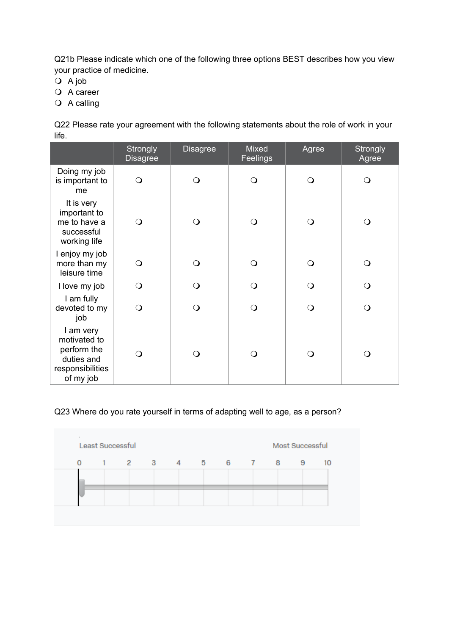Q21b Please indicate which one of the following three options BEST describes how you view your practice of medicine.

- $Q$  A job
- O A career
- $\overline{Q}$  A calling

Q22 Please rate your agreement with the following statements about the role of work in your life.

|                                                                                         | Strongly<br><b>Disagree</b> | <b>Disagree</b> | <b>Mixed</b><br>Feelings | Agree | Strongly<br>Agree |
|-----------------------------------------------------------------------------------------|-----------------------------|-----------------|--------------------------|-------|-------------------|
| Doing my job<br>is important to<br>me                                                   | $\Omega$                    | ∩               | Q                        | ∩     | $\Omega$          |
| It is very<br>important to<br>me to have a<br>successful<br>working life                | $\Omega$                    | ∩               | $\Omega$                 | ∩     | $\Omega$          |
| I enjoy my job<br>more than my<br>leisure time                                          | $\Omega$                    | ∩               | ∩                        | ∩     | $\Omega$          |
| I love my job                                                                           | $\Omega$                    | ∩               | O                        | O     | $\Omega$          |
| I am fully<br>devoted to my<br>job                                                      | $\overline{O}$              | ∩               | $\Omega$                 | ∩     | Q                 |
| I am very<br>motivated to<br>perform the<br>duties and<br>responsibilities<br>of my job | $\Omega$                    | ∩               | ∩                        | ∩     | O                 |

## Q23 Where do you rate yourself in terms of adapting well to age, as a person?

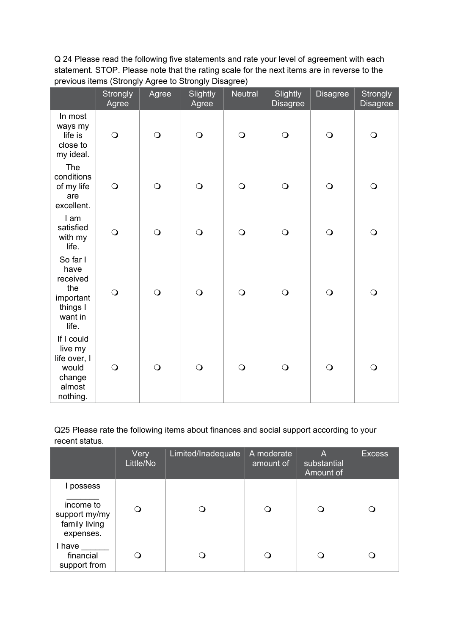Q 24 Please read the following five statements and rate your level of agreement with each statement. STOP. Please note that the rating scale for the next items are in reverse to the previous items (Strongly Agree to Strongly Disagree)

|                                                                                  | <b>Strongly</b><br>Agree | Agree          | Slightly<br>Agree | <b>Neutral</b> | Slightly<br><b>Disagree</b> | <b>Disagree</b> | Strongly<br><b>Disagree</b> |
|----------------------------------------------------------------------------------|--------------------------|----------------|-------------------|----------------|-----------------------------|-----------------|-----------------------------|
| In most<br>ways my<br>life is<br>close to<br>my ideal.                           | $\bigcirc$               | $\bigcirc$     | $\bigcirc$        | $\bigcirc$     | $\bigcirc$                  | $\bigcirc$      | $\bigcirc$                  |
| The<br>conditions<br>of my life<br>are<br>excellent.                             | $\bigcirc$               | $\bigcirc$     | $\bigcirc$        | $\bigcirc$     | $\bigcirc$                  | $\bigcirc$      | $\bigcirc$                  |
| I am<br>satisfied<br>with my<br>life.                                            | $\bigcirc$               | $\overline{O}$ | $\bigcirc$        | $\bigcirc$     | $\bigcirc$                  | $\bigcirc$      | $\bigcirc$                  |
| So far I<br>have<br>received<br>the<br>important<br>things I<br>want in<br>life. | $\bigcirc$               | $\overline{O}$ | $\bigcirc$        | $\overline{O}$ | $\bigcirc$                  | $\bigcirc$      | $\bigcirc$                  |
| If I could<br>live my<br>life over, I<br>would<br>change<br>almost<br>nothing.   | $\bigcirc$               | $\bigcirc$     | $\bigcirc$        | $\bigcirc$     | $\bigcirc$                  | $\bigcirc$      | $\bigcirc$                  |

Q25 Please rate the following items about finances and social support according to your recent status.

|                                                                       | Very<br>Little/No | Limited/Inadequate | A moderate<br>amount of | Α<br>substantial<br>Amount of | <b>Excess</b> |
|-----------------------------------------------------------------------|-------------------|--------------------|-------------------------|-------------------------------|---------------|
| l possess<br>income to<br>support my/my<br>family living<br>expenses. | ∩                 |                    | ∩                       | ( )                           |               |
| I have<br>financial<br>support from                                   |                   |                    |                         | 0                             |               |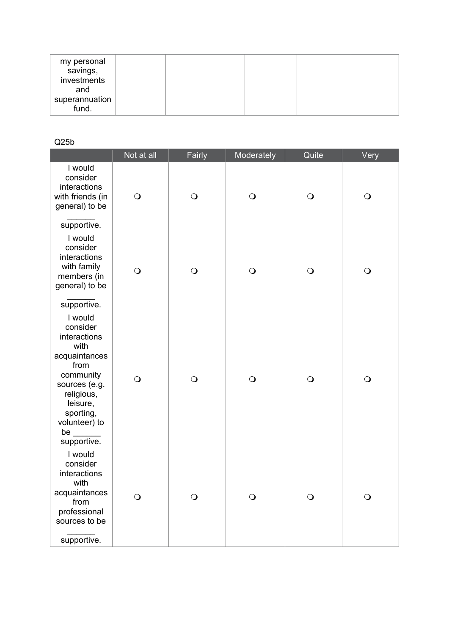| my personal<br>savings, |  |  |  |
|-------------------------|--|--|--|
| investments<br>and      |  |  |  |
| superannuation<br>fund. |  |  |  |

## Q25b

|                                                                                                                                                                                       | Not at all | Fairly     | Moderately | Quite      | Very       |
|---------------------------------------------------------------------------------------------------------------------------------------------------------------------------------------|------------|------------|------------|------------|------------|
| I would<br>consider<br>interactions<br>with friends (in<br>general) to be                                                                                                             | $\bigcirc$ | $\bigcirc$ | $\bigcirc$ | $\bigcirc$ | $\bigcirc$ |
| supportive.<br>I would<br>consider<br>interactions<br>with family<br>members (in<br>general) to be                                                                                    | $\bigcirc$ | $\bigcirc$ | $\bigcirc$ | $\bigcirc$ | $\bigcirc$ |
| supportive.<br>I would<br>consider<br>interactions<br>with<br>acquaintances<br>from<br>community<br>sources (e.g.<br>religious,<br>leisure,<br>sporting,<br>volunteer) to<br>be $\_{$ | $\bigcirc$ | $\bigcirc$ | $\bigcirc$ | $\bigcirc$ | $\bigcirc$ |
| supportive.<br>I would<br>consider<br>interactions<br>with<br>acquaintances<br>from<br>professional<br>sources to be<br>supportive.                                                   | Q          | O          | $\Omega$   | O          | $\Omega$   |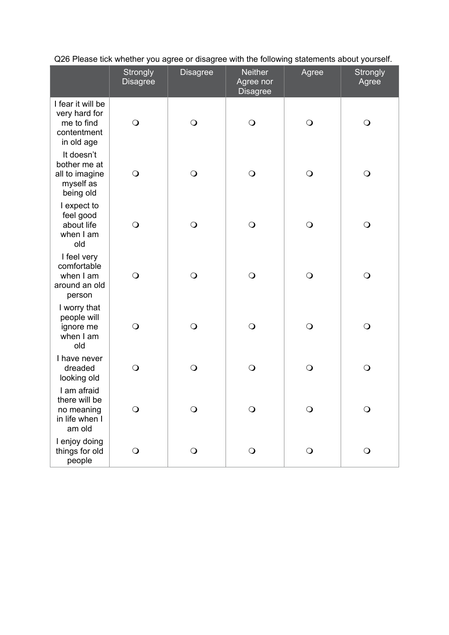|                                                                               | Strongly<br><b>Disagree</b> | <b>Disagree</b> | <b>Neither</b><br>Agree nor<br><b>Disagree</b> | Agree      | Strongly<br>Agree |  |
|-------------------------------------------------------------------------------|-----------------------------|-----------------|------------------------------------------------|------------|-------------------|--|
| I fear it will be<br>very hard for<br>me to find<br>contentment<br>in old age | $\bigcirc$                  | $\bigcirc$      | $\bigcirc$                                     | $\bigcirc$ | $\bigcirc$        |  |
| It doesn't<br>bother me at<br>all to imagine<br>myself as<br>being old        | $\bigcirc$                  | $\bigcirc$      | $\bigcirc$                                     | $\bigcirc$ | $\bigcirc$        |  |
| I expect to<br>feel good<br>about life<br>when I am<br>old                    | $\bigcirc$                  | $\bigcirc$      | $\bigcirc$                                     | $\bigcirc$ | $\bigcirc$        |  |
| I feel very<br>comfortable<br>when I am<br>around an old<br>person            | $\bigcirc$                  | $\bigcirc$      | $\bigcirc$                                     | $\bigcirc$ | $\bigcirc$        |  |
| I worry that<br>people will<br>ignore me<br>when I am<br>old                  | $\bigcirc$                  | $\bigcirc$      | $\bigcirc$                                     | $\bigcirc$ | $\bigcirc$        |  |
| I have never<br>dreaded<br>looking old                                        | $\bigcirc$                  | $\bigcirc$      | $\bigcirc$                                     | $\bigcirc$ | $\bigcirc$        |  |
| I am afraid<br>there will be<br>no meaning<br>in life when I<br>am old        | $\Omega$                    | Q               | $\overline{O}$                                 | $\bigcirc$ | $\Omega$          |  |
| I enjoy doing<br>things for old<br>people                                     | $\bigcirc$                  | $\bigcirc$      | $\bigcirc$                                     | $\bigcirc$ | $\bigcirc$        |  |

Q26 Please tick whether you agree or disagree with the following statements about yourself.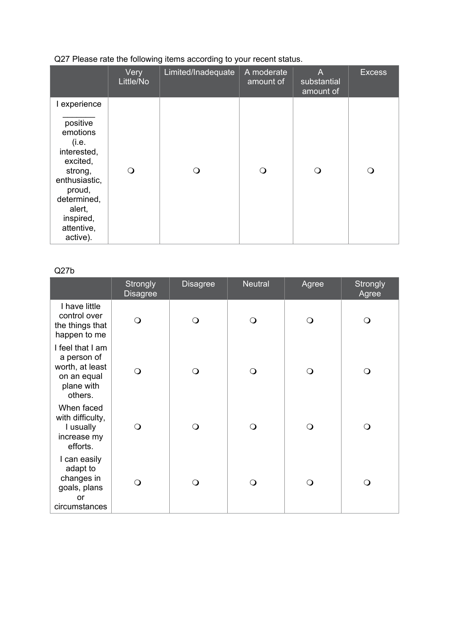|                                                                                                                                                                | Very<br>Little/No | Limited/Inadequate | A moderate<br>amount of | A<br>substantial<br>amount of | <b>Excess</b> |
|----------------------------------------------------------------------------------------------------------------------------------------------------------------|-------------------|--------------------|-------------------------|-------------------------------|---------------|
| I experience                                                                                                                                                   |                   |                    |                         |                               |               |
| positive<br>emotions<br>(i.e.<br>interested,<br>excited,<br>strong,<br>enthusiastic,<br>proud,<br>determined,<br>alert,<br>inspired,<br>attentive,<br>active). | ∩                 |                    | ∩                       |                               | ∩             |

# Q27 Please rate the following items according to your recent status.

Q27b

|                                                                                            | <b>Strongly</b><br><b>Disagree</b> | <b>Disagree</b> | <b>Neutral</b> | Agree    | Strongly<br>Agree |
|--------------------------------------------------------------------------------------------|------------------------------------|-----------------|----------------|----------|-------------------|
| I have little<br>control over<br>the things that<br>happen to me                           | ∩                                  | ∩               | ∩              | $\Omega$ | O                 |
| I feel that I am<br>a person of<br>worth, at least<br>on an equal<br>plane with<br>others. |                                    | Q               | ∩              | $\Omega$ | $\Omega$          |
| When faced<br>with difficulty,<br>I usually<br>increase my<br>efforts.                     | ∩                                  | ∩               | ∩              | ∩        | ∩                 |
| I can easily<br>adapt to<br>changes in<br>goals, plans<br>or<br>circumstances              |                                    | ∩               | ∩              | ∩        | ∩                 |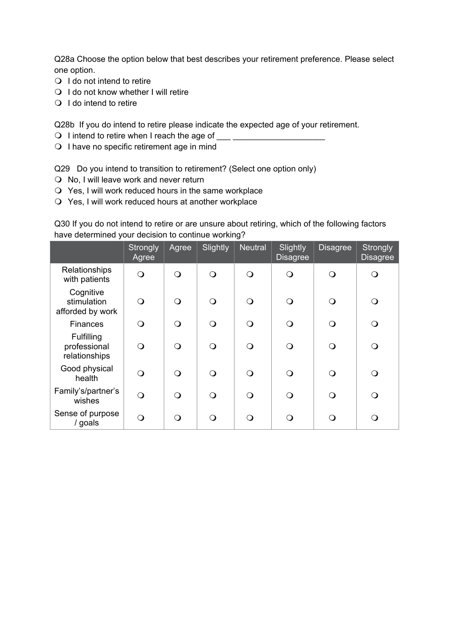Q28a Choose the option below that best describes your retirement preference. Please select one option.

- $\bigcirc$  I do not intend to retire
- $\bigcirc$  I do not know whether I will retire
- $\bigcirc$  I do intend to retire

Q28b If you do intend to retire please indicate the expected age of your retirement.

- $\bigcirc$  I intend to retire when I reach the age of
- O I have no specific retirement age in mind

Q29 Do you intend to transition to retirement? (Select one option only)

- $\bigcirc$  No, I will leave work and never return
- Yes, I will work reduced hours in the same workplace
- Yes, I will work reduced hours at another workplace

Q30 If you do not intend to retire or are unsure about retiring, which of the following factors have determined your decision to continue working?

|                                                    | Strongly<br>Agree | Agree    | Slightly | <b>Neutral</b> | Slightly<br><b>Disagree</b> | <b>Disagree</b> | Strongly<br><b>Disagree</b> |
|----------------------------------------------------|-------------------|----------|----------|----------------|-----------------------------|-----------------|-----------------------------|
| Relationships<br>with patients                     | $\Omega$          | $\Omega$ | $\Omega$ | $\Omega$       | $\Omega$                    | $\mathsf{O}$    | ∩                           |
| Cognitive<br>stimulation<br>afforded by work       | ∩                 | $\Omega$ | ∩        | ∩              | ∩                           | $\mathsf{O}$    | ∩                           |
| <b>Finances</b>                                    | $\Omega$          | $\Omega$ | $\Omega$ | $\Omega$       | $\Omega$                    | $\Omega$        |                             |
| <b>Fulfilling</b><br>professional<br>relationships | ∩                 | $\Omega$ | $\Omega$ | ∩              | ∩                           | $\mathsf{O}$    | ∩                           |
| Good physical<br>health                            | $\Omega$          | $\Omega$ | $\Omega$ | $\Omega$       | ∩                           | $\bigcirc$      | ∩                           |
| Family's/partner's<br>wishes                       | $\Omega$          | $\Omega$ | $\Omega$ | ∩              | $\Omega$                    | Q               |                             |
| Sense of purpose<br>/ goals                        | ∩                 | $\Omega$ | ∩        | ∩              | ∩                           | ∩               |                             |